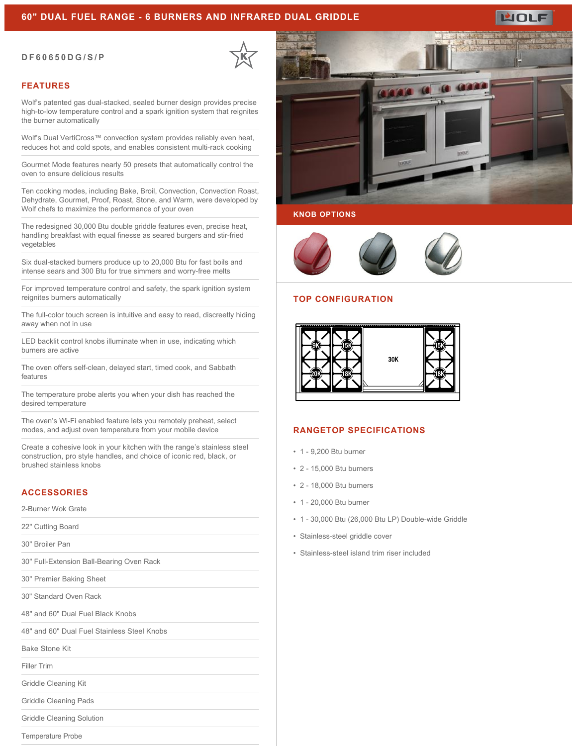#### **60" DUAL FUEL RANGE - 6 BURNERS AND INFRARED DUAL GRIDDLE**

#### **DF60650DG/S/P**

#### **FEATURES**

Wolf's patented gas dual-stacked, sealed burner design provides precise high-to-low temperature control and a spark ignition system that reignites the burner automatically

Wolf's Dual VertiCross™ convection system provides reliably even heat, reduces hot and cold spots, and enables consistent multi-rack cooking

Gourmet Mode features nearly 50 presets that automatically control the oven to ensure delicious results

Ten cooking modes, including Bake, Broil, Convection, Convection Roast, Dehydrate, Gourmet, Proof, Roast, Stone, and Warm, were developed by Wolf chefs to maximize the performance of your oven

The redesigned 30,000 Btu double griddle features even, precise heat, handling breakfast with equal finesse as seared burgers and stir-fried vegetables

Six dual-stacked burners produce up to 20,000 Btu for fast boils and intense sears and 300 Btu for true simmers and worry-free melts

For improved temperature control and safety, the spark ignition system reignites burners automatically

The full-color touch screen is intuitive and easy to read, discreetly hiding away when not in use

LED backlit control knobs illuminate when in use, indicating which burners are active

The oven offers self-clean, delayed start, timed cook, and Sabbath features

The temperature probe alerts you when your dish has reached the desired temperature

The oven's Wi-Fi enabled feature lets you remotely preheat, select modes, and adjust oven temperature from your mobile device

Create a cohesive look in your kitchen with the range's stainless steel construction, pro style handles, and choice of iconic red, black, or brushed stainless knobs

# **ACCESSORIES**

2-Burner Wok Grate

22" Cutting Board

30" Broiler Pan

30" Full-Extension Ball-Bearing Oven Rack

30" Premier Baking Sheet

30" Standard Oven Rack

48" and 60" Dual Fuel Black Knobs

48" and 60" Dual Fuel Stainless Steel Knobs

Bake Stone Kit

Filler Trim

Griddle Cleaning Kit

Griddle Cleaning Pads

Griddle Cleaning Solution

Temperature Probe



## **KNOB OPTIONS**



#### **TOP CONFIGURATION**



### **RANGETOP SPECIFICATIONS**

- 1 9,200 Btu burner
- 2 15,000 Btu burners
- 2 18,000 Btu burners
- 1 20,000 Btu burner
- 1 30,000 Btu (26,000 Btu LP) Double-wide Griddle
- Stainless-steel griddle cover
- Stainless-steel island trim riser included



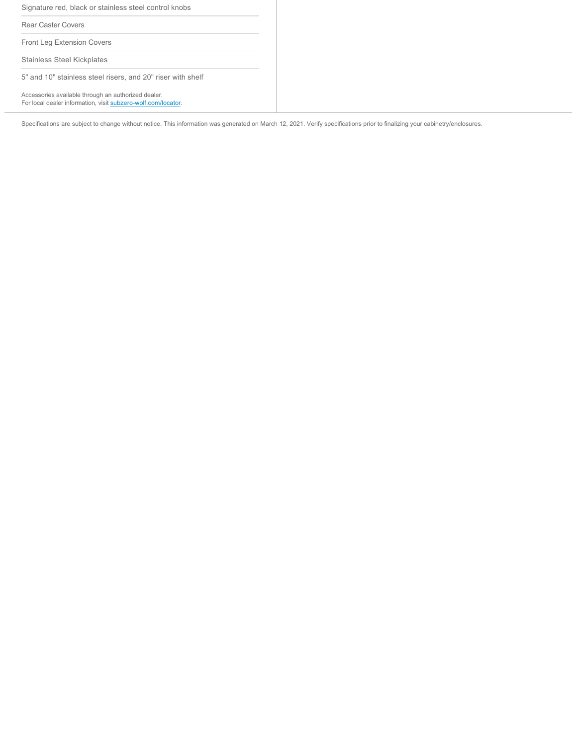Signature red, black or stainless steel control knobs

Rear Caster Covers

Front Leg Extension Covers

Stainless Steel Kickplates

5" and 10" stainless steel risers, and 20" riser with shelf

Accessories available through an authorized dealer. For local dealer information, visit [subzero-wolf.com/locator.](http://www.subzero-wolf.com/locator)

Specifications are subject to change without notice. This information was generated on March 12, 2021. Verify specifications prior to finalizing your cabinetry/enclosures.